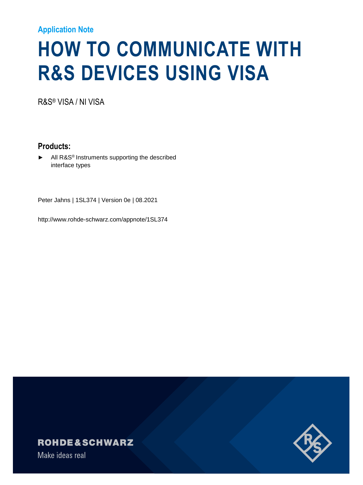#### **Application Note**

# **HOW TO COMMUNICATE WITH R&S DEVICES USING VISA**

R&S® VISA / NI VISA

**Products:**

All R&S<sup>®</sup> Instruments supporting the described interface types

Peter Jahns | 1SL374 | Version 0e | 08.2021

http://www.rohde-schwarz.com/appnote/1SL374

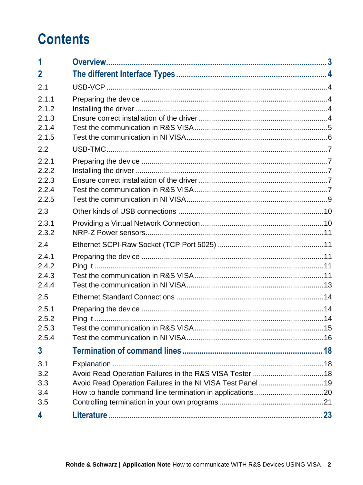### **Contents**

| 1                                         |                                                                                                                     |     |
|-------------------------------------------|---------------------------------------------------------------------------------------------------------------------|-----|
| $\mathbf{2}$                              |                                                                                                                     |     |
| 2.1                                       |                                                                                                                     |     |
| 2.1.1<br>2.1.2                            |                                                                                                                     |     |
| 2.1.3<br>2.1.4                            |                                                                                                                     |     |
| 2.1.5<br>2.2                              |                                                                                                                     |     |
| 2.2.1<br>2.2.2<br>2.2.3<br>2.2.4<br>2.2.5 |                                                                                                                     |     |
| 2.3                                       |                                                                                                                     |     |
| 2.3.1<br>2.3.2                            |                                                                                                                     |     |
| 2.4                                       |                                                                                                                     |     |
| 2.4.1<br>2.4.2<br>2.4.3<br>2.4.4          |                                                                                                                     |     |
| 2.5                                       |                                                                                                                     |     |
| 2.5.1<br>2.5.2<br>2.5.3<br>2.5.4          |                                                                                                                     | .15 |
| $\overline{3}$                            |                                                                                                                     |     |
| 3.1<br>3.2<br>3.3<br>3.4<br>3.5           | Avoid Read Operation Failures in the R&S VISA Tester18<br>Avoid Read Operation Failures in the NI VISA Test Panel19 |     |
| 4                                         |                                                                                                                     |     |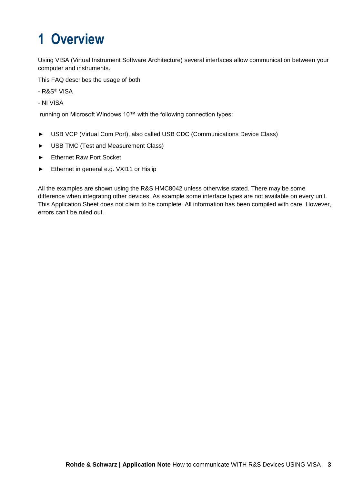## <span id="page-2-0"></span>**1 Overview**

Using VISA (Virtual Instrument Software Architecture) several interfaces allow communication between your computer and instruments.

This FAQ describes the usage of both

- R&S® VISA
- NI VISA

running on Microsoft Windows 10™ with the following connection types:

- ► USB VCP (Virtual Com Port), also called USB CDC (Communications Device Class)
- ► USB TMC (Test and Measurement Class)
- ► Ethernet Raw Port Socket
- ► Ethernet in general e.g. VXI11 or Hislip

All the examples are shown using the R&S HMC8042 unless otherwise stated. There may be some difference when integrating other devices. As example some interface types are not available on every unit. This Application Sheet does not claim to be complete. All information has been compiled with care. However, errors can't be ruled out.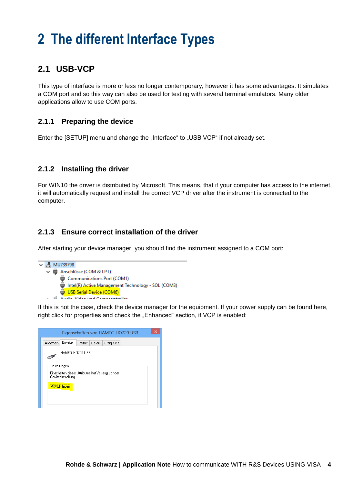### <span id="page-3-0"></span>**2 The different Interface Types**

### <span id="page-3-1"></span>**2.1 USB-VCP**

This type of interface is more or less no longer contemporary, however it has some advantages. It simulates a COM port and so this way can also be used for testing with several terminal emulators. Many older applications allow to use COM ports.

#### <span id="page-3-2"></span>**2.1.1 Preparing the device**

Enter the [SETUP] menu and change the "Interface" to "USB VCP" if not already set.

#### <span id="page-3-3"></span>**2.1.2 Installing the driver**

For WIN10 the driver is distributed by Microsoft. This means, that if your computer has access to the internet, it will automatically request and install the correct VCP driver after the instrument is connected to the computer.

#### <span id="page-3-4"></span>**2.1.3 Ensure correct installation of the driver**

After starting your device manager, you should find the instrument assigned to a COM port:

```
\vee <sup>1</sup> MU739798
   ↓ ■ Anschlüsse (COM & LPT)
         Communications Port (COM1)
         Intel(R) Active Management Technology - SOL (COM3)
         USB Serial Device (COM6)
     of Andre Marie and Concernances
```
If this is not the case, check the device manager for the equipment. If your power supply can be found here, right click for properties and check the "Enhanced" section, if VCP is enabled:

| ×<br>Eigenschaften von HAMEG HO720 USB                                                                         |  |  |  |  |  |  |  |  |  |
|----------------------------------------------------------------------------------------------------------------|--|--|--|--|--|--|--|--|--|
| Eiweitert<br>Allgemein<br>Treiber<br>Detail:<br>Ereignisse                                                     |  |  |  |  |  |  |  |  |  |
| HAMEG HO720 USB                                                                                                |  |  |  |  |  |  |  |  |  |
| Einstellungen<br>Einschalten dieses Attributes hat Vorrang vor der<br>Geräteeinstellung.<br><b>V</b> VCP lader |  |  |  |  |  |  |  |  |  |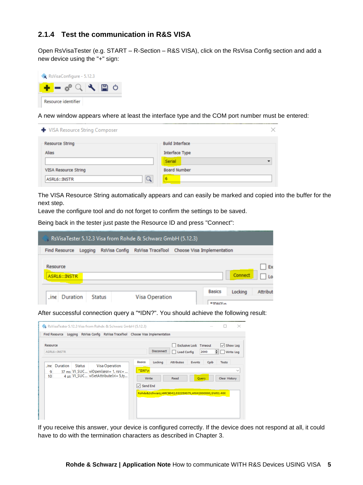#### <span id="page-4-0"></span>**2.1.4 Test the communication in R&S VISA**

Open RsVisaTester (e.g. START – R-Section – R&S VISA), click on the RsVisa Config section and add a new device using the "+" sign:



A new window appears where at least the interface type and the COM port number must be entered:

| ← VISA Resource String Composer                  | ×                                        |
|--------------------------------------------------|------------------------------------------|
| <b>Resource String</b><br>Alias                  | <b>Build Interface</b><br>Interface Type |
| VISA Resource String<br>$\alpha$<br>ASRL6::INSTR | Serial<br><b>Board Number</b>            |

The VISA Resource String automatically appears and can easily be marked and copied into the buffer for the next step.

Leave the configure tool and do not forget to confirm the settings to be saved.

Being back in the tester just paste the Resource ID and press "Connect":

| RsVisaTester 5.12.3 Visa from Rohde & Schwarz GmbH (5.12.3) |         |               |                                                           |  |                          |         |          |  |
|-------------------------------------------------------------|---------|---------------|-----------------------------------------------------------|--|--------------------------|---------|----------|--|
| <b>Find Resource</b>                                        | Logging |               | RsVisa Config RsVisa TraceTool Choose Visa Implementation |  |                          |         |          |  |
| Resource<br>ASRL6::INSTR                                    |         |               |                                                           |  |                          | Connect | Ex<br>10 |  |
| line<br>Duration                                            |         | <b>Status</b> | Visa Operation                                            |  | <b>Basics</b><br>*IDNOI» | Locking | Attribut |  |

After successful connection query a "\*IDN?". You should achieve the following result:

|                 | <b>Find Resource</b> | Logging       | <b>RsVisa Config</b> | RsVisa TraceTool Choose Visa Implementation                                                        |                                                       |                   |                                                                                  |                                       |                                      |                              |
|-----------------|----------------------|---------------|----------------------|----------------------------------------------------------------------------------------------------|-------------------------------------------------------|-------------------|----------------------------------------------------------------------------------|---------------------------------------|--------------------------------------|------------------------------|
| Resource        | ASRL6::INSTR         |               |                      |                                                                                                    |                                                       | <b>Disconnect</b> | Load Config                                                                      | <b>Exclusive Lock Timeout</b><br>2000 | $\checkmark$<br>$\div$               | Show Log<br><b>Write Log</b> |
| line<br>9<br>10 | Duration             | <b>Status</b> |                      | <b>Visa Operation</b><br>37 ms VI_SUC viOpen(sesn= 1, rsrc=<br>4 us VI_SUC viSetAttribute(vi= 5,ty | <b>Basics</b><br>$*IDN?$ \n<br>Write<br>Send End<br>◡ | Locking           | <b>Attributes</b><br>Read<br>Rohde&Schwarz,HMC8042,032259070,HW42000000,SW01.400 | Events<br>Gpib<br>Query               | <b>Tests</b><br><b>Clear History</b> | $\checkmark$                 |

If you receive this answer, your device is configured correctly. If the device does not respond at all, it could have to do with the termination characters as described in Chapter 3.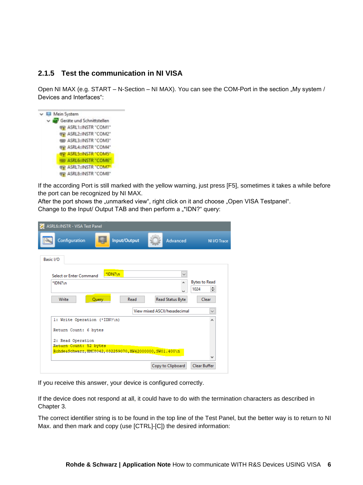#### <span id="page-5-0"></span>**2.1.5 Test the communication in NI VISA**

Open NI MAX (e.g. START – N-Section – NI MAX). You can see the COM-Port in the section "My system / Devices and Interfaces":



If the according Port is still marked with the yellow warning, just press [F5], sometimes it takes a while before the port can be recognized by NI MAX.

After the port shows the "unmarked view", right click on it and choose "Open VISA Testpanel". Change to the Input/ Output TAB and then perform a "\*IDN?" query:

| ASRL6::INSTR - VISA Test Panel                            |              |                              |                                   |
|-----------------------------------------------------------|--------------|------------------------------|-----------------------------------|
| Configuration                                             | Input/Output | Advanced                     | NI I/O Trace                      |
| Basic I/O                                                 |              |                              |                                   |
| Select or Enter Command                                   | *IDN?\n      | $\checkmark$                 |                                   |
| *IDN?\n                                                   |              | A.<br>ka.                    | <b>Bytes to Read</b><br>÷<br>1024 |
| Write<br>Query                                            | Read         | Read Status Byte             | Clear                             |
|                                                           |              | View mixed ASCII/hexadecimal | $\checkmark$                      |
| 1: Write Operation (*IDN?\n)                              |              |                              | ۸                                 |
| Return Count: 6 bytes                                     |              |                              |                                   |
| 2: Read Operation                                         |              |                              |                                   |
| Return Count: 52 bytes                                    |              |                              |                                   |
| RohdesSchwarz, HMC8042, 032259070, HW42000000, SW01.400\n |              |                              |                                   |
|                                                           |              |                              |                                   |
|                                                           |              | Copy to Clipboard            | <b>Clear Buffer</b>               |

If you receive this answer, your device is configured correctly.

If the device does not respond at all, it could have to do with the termination characters as described in Chapter 3.

The correct identifier string is to be found in the top line of the Test Panel, but the better way is to return to NI Max. and then mark and copy (use [CTRL]-[C]) the desired information: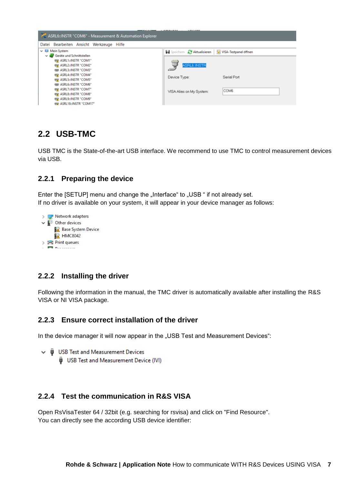

#### <span id="page-6-0"></span>**2.2 USB-TMC**

USB TMC is the State-of-the-art USB interface. We recommend to use TMC to control measurement devices via USB.

#### <span id="page-6-1"></span>**2.2.1 Preparing the device**

Enter the [SETUP] menu and change the "Interface" to "USB " if not already set. If no driver is available on your system, it will appear in your device manager as follows:

> Network adapters  $\vee$  <sup><sup>3</sup></sup> Other devices **Base System Device EX HMC8042**  $\sum$  Print queues **PT** December

#### <span id="page-6-2"></span>**2.2.2 Installing the driver**

Following the information in the manual, the TMC driver is automatically available after installing the R&S VISA or NI VISA package.

#### <span id="page-6-3"></span>**2.2.3 Ensure correct installation of the driver**

In the device manager it will now appear in the "USB Test and Measurement Devices":

```
\vee \ddot{\mathbf{U}} USB Test and Measurement Devices
```
USB Test and Measurement Device (IVI)

#### <span id="page-6-4"></span>**2.2.4 Test the communication in R&S VISA**

Open RsVisaTester 64 / 32bit (e.g. searching for rsvisa) and click on "Find Resource". You can directly see the according USB device identifier: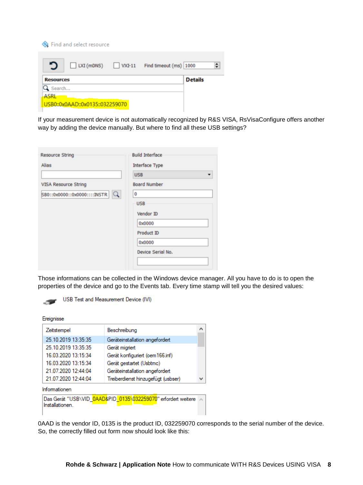| Strind and select resource                                |   |
|-----------------------------------------------------------|---|
| $\Box$ LXI (mDNS) $\Box$ VXI-11<br>Find timeout (ms) 1000 | ÷ |
| <b>Details</b><br><b>Resources</b>                        |   |
| $\mathbf 3$ Search                                        |   |
| <b>ASRL</b>                                               |   |
| USB0::0x0AAD::0x0135::032259070                           |   |

If your measurement device is not automatically recognized by R&S VISA, RsVisaConfigure offers another way by adding the device manually. But where to find all these USB settings?

| <b>Resource String</b>            | <b>Build Interface</b> |
|-----------------------------------|------------------------|
| Alias                             | Interface Type         |
|                                   | <b>USB</b>             |
| VISA Resource String              | <b>Board Number</b>    |
| Q<br>SB0::0x0000::0x0000::::INSTR | $\bf{0}$               |
|                                   | <b>USB</b>             |
|                                   | Vendor ID              |
|                                   | 0x0000                 |
|                                   | Product ID             |
|                                   | 0x0000                 |
|                                   | Device Serial No.      |
|                                   |                        |

Those informations can be collected in the Windows device manager. All you have to do is to open the properties of the device and go to the Events tab. Every time stamp will tell you the desired values:



USB Test and Measurement Device (IVI)

#### Ereignisse

| Beschreibung<br>Zeitstempel<br>25.10.2019 13:35:35<br>Geräteinstallation angefordert<br>25 10 2019 13:35:35<br>Gerät migriert<br>16 03 2020 13:15:34<br>Gerät konfiguriert (oem 166.inf)<br>16.03.2020 13:15:34<br>Gerät gestartet (Usbtmc)<br>21.07.2020 12:44:04<br>Geräteinstallation angefordert<br>21.07.2020 12:44:04<br>Treiberdienst hinzugefügt (usbser)<br>Informationen<br>Das Gerät "USB\VID_0AAD&PID_0135\032259070" erfordert weitere<br>Installationen. |  |  |
|------------------------------------------------------------------------------------------------------------------------------------------------------------------------------------------------------------------------------------------------------------------------------------------------------------------------------------------------------------------------------------------------------------------------------------------------------------------------|--|--|
|                                                                                                                                                                                                                                                                                                                                                                                                                                                                        |  |  |
|                                                                                                                                                                                                                                                                                                                                                                                                                                                                        |  |  |
|                                                                                                                                                                                                                                                                                                                                                                                                                                                                        |  |  |
|                                                                                                                                                                                                                                                                                                                                                                                                                                                                        |  |  |
|                                                                                                                                                                                                                                                                                                                                                                                                                                                                        |  |  |
|                                                                                                                                                                                                                                                                                                                                                                                                                                                                        |  |  |
|                                                                                                                                                                                                                                                                                                                                                                                                                                                                        |  |  |
|                                                                                                                                                                                                                                                                                                                                                                                                                                                                        |  |  |
|                                                                                                                                                                                                                                                                                                                                                                                                                                                                        |  |  |

0AAD is the vendor ID, 0135 is the product ID, 032259070 corresponds to the serial number of the device. So, the correctly filled out form now should look like this: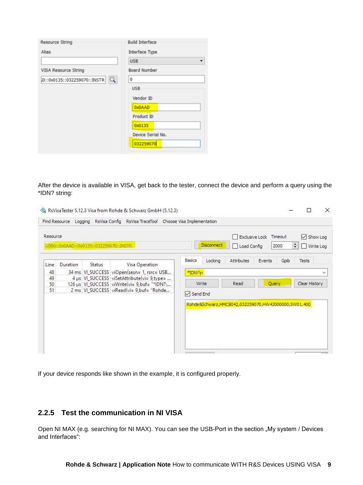| <b>Resource String</b>           | <b>Build Interface</b> |
|----------------------------------|------------------------|
| Alias                            | <b>Interface Type</b>  |
|                                  | <b>USB</b>             |
| VISA Resource String             | <b>Board Number</b>    |
| Q<br>D::0x0135::032259070::INSTR | 0                      |
|                                  | <b>USB</b>             |
|                                  | Vendor ID              |
|                                  | 0x0AAD                 |
|                                  | Product ID             |
|                                  | 0x0135                 |
|                                  | Device Serial No.      |
|                                  | 032259070              |
|                                  |                        |

After the device is available in VISA, get back to the tester, connect the device and perform a query using the \*IDN? string:

| Resource<br>USB0::0x0AAD::0x0135::032259070::INSTR                                                                                                           | Exclusive Lock<br>Timeout<br>$\vee$ Show Log<br><b>Disconnect</b><br>$\div$<br>2000<br>Write Log<br>Load Config<br>11 |
|--------------------------------------------------------------------------------------------------------------------------------------------------------------|-----------------------------------------------------------------------------------------------------------------------|
| Duration<br>Visa Operation<br>Line<br>Status<br>34 ms VI SUCCESS viOpen(sesn= 1, rsrc= USB<br>48                                                             | <b>Basics</b><br>Locking<br>Attributes<br>Tests<br>Gpib<br>Events<br>*IDN?\n<br>$\checkmark$                          |
| 49<br>4 µs   VI_SUCCESS   viSetAttribute(vi= 9,type=<br>50<br>126 µs VI SUCCESS viWrite(vi= 9,buf= "*IDN?\<br>51<br>2 ms VI_SUCCESS viRead(vi= 9,buf= "Rohde | Read<br>Clear History<br>Query<br>Write<br>$\vee$ Send End                                                            |
|                                                                                                                                                              | Rohde&Schwarz,HMC8042,032259070,HW42000000,SW01.400                                                                   |

If your device responds like shown in the example, it is configured properly.

#### <span id="page-8-0"></span>**2.2.5 Test the communication in NI VISA**

Open NI MAX (e.g. searching for NI MAX). You can see the USB-Port in the section "My system / Devices and Interfaces":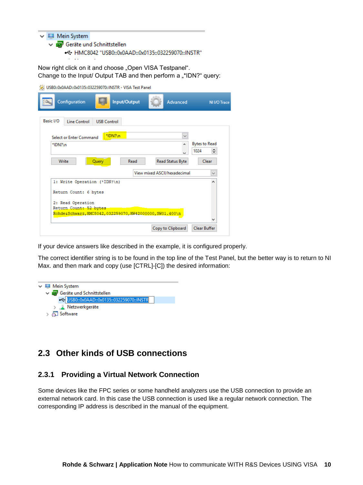- $\vee$  Mein System
	- Geräte und Schnittstellen
		- + HMC8042 "USB0::0x0AAD::0x0135::032259070::INSTR"

Now right click on it and choose "Open VISA Testpanel". Change to the Input/ Output TAB and then perform a "\*IDN?" query:

USB0::0x0AAD::0x0135::032259070::INSTR - VISA Test Panel

|           | Configuration                                             |                    | Input/Output | Advanced                     | NI I/O Trace                      |
|-----------|-----------------------------------------------------------|--------------------|--------------|------------------------------|-----------------------------------|
| Basic I/O | <b>Line Control</b>                                       | <b>USB Control</b> |              |                              |                                   |
|           | Select or Enter Command                                   | *IDN?\n            |              |                              |                                   |
| *IDN?\n   |                                                           |                    |              | k.                           | <b>Bytes to Read</b><br>÷<br>1024 |
|           | Write                                                     | Query              | Read         | Read Status Byte             | Clear                             |
|           |                                                           |                    |              | View mixed ASCII/hexadecimal | $\checkmark$                      |
|           | 1: Write Operation (*IDN?\n)                              |                    |              |                              | ۸                                 |
|           | Return Count: 6 bytes                                     |                    |              |                              |                                   |
|           | 2: Read Operation<br>Return Count: 52 bytes               |                    |              |                              |                                   |
|           | RohdesSchwarz, HMC8042, 032259070, HW42000000, SW01.400\n |                    |              |                              |                                   |
|           |                                                           |                    |              |                              |                                   |
|           |                                                           |                    |              | Copy to Clipboard            | Clear Buffer                      |

If your device answers like described in the example, it is configured properly.

The correct identifier string is to be found in the top line of the Test Panel, but the better way is to return to NI Max. and then mark and copy (use [CTRL]-[C]) the desired information:



#### <span id="page-9-0"></span>**2.3 Other kinds of USB connections**

#### <span id="page-9-1"></span>**2.3.1 Providing a Virtual Network Connection**

Some devices like the FPC series or some handheld analyzers use the USB connection to provide an external network card. In this case the USB connection is used like a regular network connection. The corresponding IP address is described in the manual of the equipment.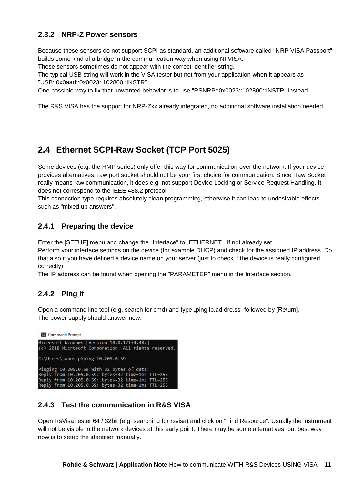#### <span id="page-10-0"></span>**2.3.2 NRP-Z Power sensors**

Because these sensors do not support SCPI as standard, an additional software called "NRP VISA Passport" builds some kind of a bridge in the communication way when using NI VISA.

These sensors sometimes do not appear with the correct identifier string.

The typical USB string will work in the VISA tester but not from your application when it appears as "USB::0x0aad::0x0023::102800::INSTR".

One possible way to fix that unwanted behavior is to use "RSNRP::0x0023::102800::INSTR" instead.

The R&S VISA has the support for NRP-Zxx already integrated, no additional software installation needed.

#### <span id="page-10-1"></span>**2.4 Ethernet SCPI-Raw Socket (TCP Port 5025)**

Some devices (e.g. the HMP series) only offer this way for communication over the network. If your device provides alternatives, raw port socket should not be your first choice for communication. Since Raw Socket really means raw communication, it does e.g. not support Device Locking or Service Request Handling. It does not correspond to the IEEE 488.2 protocol.

This connection type requires absolutely clean programming, otherwise it can lead to undesirable effects such as "mixed up answers".

#### <span id="page-10-2"></span>**2.4.1 Preparing the device**

Enter the [SETUP] menu and change the "Interface" to "ETHERNET " if not already set.

Perform your interface settings on the device (for example DHCP) and check for the assigned IP address. Do that also if you have defined a device name on your server (just to check if the device is really configured correctly).

The IP address can be found when opening the "PARAMETER" menu in the Interface section.

#### <span id="page-10-3"></span>**2.4.2 Ping it**

Open a command line tool (e.g. search for cmd) and type "ping ip.ad.dre.ss" followed by [Return]. The power supply should answer now.



#### <span id="page-10-4"></span>**2.4.3 Test the communication in R&S VISA**

Open RsVisaTester 64 / 32bit (e.g. searching for rsvisa) and click on "Find Resource". Usually the instrument will not be visible in the network devices at this early point. There may be some alternatives, but best way now is to setup the identifier manually.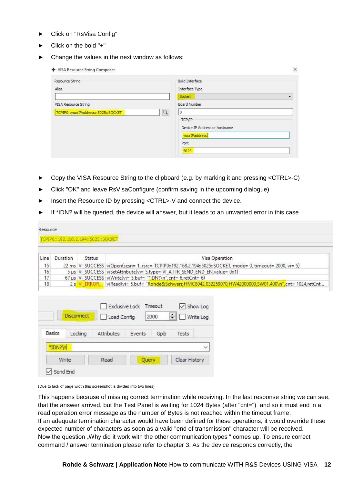- ► Click on "RsVisa Config"
- ► Click on the bold "+"
- Change the values in the next window as follows:

| Resource String                     | <b>Build Interface</b>        |                          |
|-------------------------------------|-------------------------------|--------------------------|
| Alias                               | Interface Type                |                          |
|                                     | Socket                        | $\overline{\phantom{a}}$ |
| VISA Resource String                | Board Number                  |                          |
| TCPIP0::yourIPaddress::5025::SOCKET | $\alpha$<br>l 0               |                          |
|                                     | TCP/IP                        |                          |
|                                     | Device IP Address or hostname |                          |
|                                     | yourIPaddress                 |                          |
|                                     | Port                          |                          |
|                                     | 5025                          |                          |

- ► Copy the VISA Resource String to the clipboard (e.g. by marking it and pressing <CTRL>-C)
- Click "OK" and leave RsVisaConfigure (confirm saving in the upcoming dialogue)
- Insert the Resource ID by pressing <CTRL>-V and connect the device.
- If \*IDN? will be queried, the device will answer, but it leads to an unwanted error in this case

| Resource |          | TCPIP0::192.168.2.194::5025::SOCKET |                                                                                                            |
|----------|----------|-------------------------------------|------------------------------------------------------------------------------------------------------------|
| Line     | Duration | Status                              | Visa Operation                                                                                             |
| 15       |          |                                     | 22 ms VI_SUCCESS viOpen(sesn= 1, rsrc= TCPIP0::192.168.2.194::5025::SOCKET, mode= 0, timeout= 2000, vi= 5) |
| 16       |          |                                     | 5 µs VI_SUCCESS viSetAttribute(vi= 5,type= VI_ATTR_SEND_END_EN,value= 0x1)                                 |
| 17       |          |                                     | 67 µs   VI_SUCCESS viWrite(vi= 5,buf= "*IDN?\n",cnt= 6,retCnt= 6)                                          |
| 18       |          |                                     | 2 s VI_ERROR viRead(vi= 5,buf= "Rohde&Schwarz,HMC8042,032259070,HW42000000,SW01.400\n",cnt= 1024,retCnt    |

|               | <b>Disconnect</b> | Exclusive Lock<br>Load Config |        | Timeout<br>2000 | Show Log<br>$\div$<br>Write Log |
|---------------|-------------------|-------------------------------|--------|-----------------|---------------------------------|
| <b>Basics</b> | Locking           | Attributes                    | Events | Goib            | Tests                           |
| *IDN?\n       |                   |                               |        |                 |                                 |
|               |                   |                               |        |                 | Clear History                   |

(Due to lack of page width this screenshot is divided into two lines)

This happens because of missing correct termination while receiving. In the last response string we can see, that the answer arrived, but the Test Panel is waiting for 1024 Bytes (after "cnt=") and so it must end in a read operation error message as the number of Bytes is not reached within the timeout frame. If an adequate termination character would have been defined for these operations, it would override these expected number of characters as soon as a valid "end of transmission" character will be received. Now the question "Why did it work with the other communication types " comes up. To ensure correct command / answer termination please refer to chapter 3. As the device responds correctly, the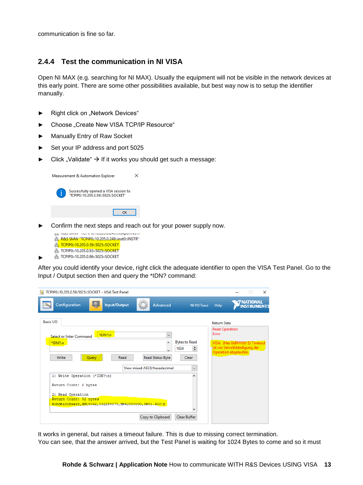communication is fine so far.

#### <span id="page-12-0"></span>**2.4.4 Test the communication in NI VISA**

Open NI MAX (e.g. searching for NI MAX). Usually the equipment will not be visible in the network devices at this early point. There are some other possibilities available, but best way now is to setup the identifier manually.

- ► Right click on "Network Devices"
- Choose "Create New VISA TCP/IP Resource"
- Manually Entry of Raw Socket
- Set your IP address and port 5025
- Click "Validate"  $\rightarrow$  If it works you should get such a message:



Confirm the next steps and reach out for your power supply now.



►

After you could identify your device, right click the adequate identifier to open the VISA Test Panel. Go to the Input / Output section then and query the \*IDN? command:

| TCPIP0::10.205.0.59::5025::SOCKET - VISA Test Panel                                                                               |                                                                              |                                                                                   |                                                                                                                                                         |                                 | X |
|-----------------------------------------------------------------------------------------------------------------------------------|------------------------------------------------------------------------------|-----------------------------------------------------------------------------------|---------------------------------------------------------------------------------------------------------------------------------------------------------|---------------------------------|---|
| Input/Output<br>Configuration                                                                                                     | Advanced                                                                     | NI I/O Trace                                                                      | Help                                                                                                                                                    | <b>TRATIONAL</b><br>INSTRUMENTS |   |
| Basic I/O<br>*IDN?\n<br>Select or Enter Command<br>*IDN?\n<br>Write<br>Query<br>Read<br>1: Write Operation (*IDN?\n)              | $\checkmark$<br>Ä.<br>k.<br>Read Status Byte<br>View mixed ASCII/hexadecimal | <b>Bytes to Read</b><br>H<br>1024<br>Clear<br>$\checkmark$<br>$\hat{\phantom{a}}$ | <b>Return Data</b><br><b>Read Operation</b><br><b>Frror</b><br>VISA: (Hex 0xBFFF0015) Timeout<br>ist vor Vervollständigung der<br>Operation abgelaufen. |                                 |   |
| Return Count: 6 bytes<br>2: Read Operation<br>Return Count: 52 bytes<br>RohdesSchwarz, HMC8042, 032259070, HW42000000, SW01.400\n | Copy to Clipboard                                                            | Clear Buffer                                                                      |                                                                                                                                                         |                                 |   |

It works in general, but raises a timeout failure. This is due to missing correct termination. You can see, that the answer arrived, but the Test Panel is waiting for 1024 Bytes to come and so it must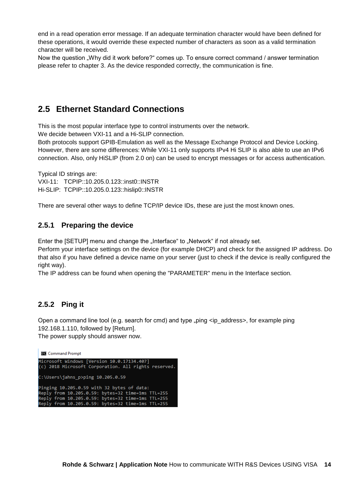end in a read operation error message. If an adequate termination character would have been defined for these operations, it would override these expected number of characters as soon as a valid termination character will be received.

Now the question "Why did it work before?" comes up. To ensure correct command / answer termination please refer to chapter 3. As the device responded correctly, the communication is fine.

#### <span id="page-13-0"></span>**2.5 Ethernet Standard Connections**

This is the most popular interface type to control instruments over the network.

We decide between VXI-11 and a Hi-SLIP connection.

Both protocols support GPIB-Emulation as well as the Message Exchange Protocol and Device Locking. However, there are some differences: While VXI-11 only supports IPv4 Hi SLIP is also able to use an IPv6 connection. Also, only HiSLIP (from 2.0 on) can be used to encrypt messages or for access authentication.

Typical ID strings are: VXI-11: TCPIP::10.205.0.123::inst0::INSTR Hi-SLIP: TCPIP::10.205.0.123::hislip0::INSTR

There are several other ways to define TCP/IP device IDs, these are just the most known ones.

#### <span id="page-13-1"></span>**2.5.1 Preparing the device**

Enter the [SETUP] menu and change the "Interface" to "Network" if not already set.

Perform your interface settings on the device (for example DHCP) and check for the assigned IP address. Do that also if you have defined a device name on your server (just to check if the device is really configured the right way).

The IP address can be found when opening the "PARAMETER" menu in the Interface section.

#### <span id="page-13-2"></span>**2.5.2 Ping it**

Open a command line tool (e.g. search for cmd) and type  $_{n}$ ping  $\langle$ ip\_address>, for example ping 192.168.1.110, followed by [Return].

The power supply should answer now.

**REA** Command Prompt

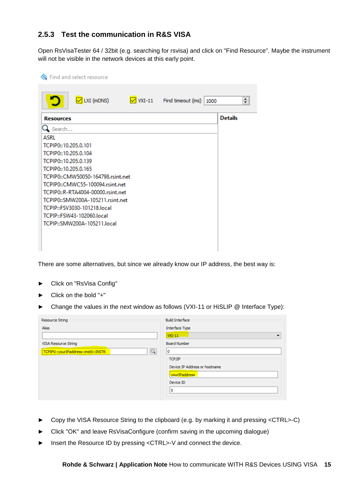#### <span id="page-14-0"></span>**2.5.3 Test the communication in R&S VISA**

Open RsVisaTester 64 / 32bit (e.g. searching for rsvisa) and click on "Find Resource". Maybe the instrument will not be visible in the network devices at this early point.

| <b>State</b> Find and select resource                                                                                                                                                                                                               |                |
|-----------------------------------------------------------------------------------------------------------------------------------------------------------------------------------------------------------------------------------------------------|----------------|
| $\sqrt{\phantom{a}}$ VXI-11 Find timeout (ms)<br>$\boxed{\triangleright}$ LXI (mDNS)<br>1000                                                                                                                                                        | ÷              |
| <b>Resources</b><br>$Q$ Search<br>ASRI<br>TCPIP0::10.205.0.101<br>TCPIP0::10.205.0.104<br>TCPIP0::10.205.0.139<br>TCPIP0::10.205.0.165<br>TCPIP0::CMW50050-164798.rsint.net<br>TCPIP0::CMWC55-100094.rsint.net<br>TCPIP0::R-RTA4004-00000.rsint.net | <b>Details</b> |
| TCPIP0::SMW200A-105211.rsint.net<br>TCPIP::FSV3030-101218.local<br>TCPIP::FSW43-102060.local<br>TCPIP::SMW200A-105211.local                                                                                                                         |                |

There are some alternatives, but since we already know our IP address, the best way is:

- ► Click on "RsVisa Config"
- ► Click on the bold "+"
- ► Change the values in the next window as follows (VXI-11 or HiSLIP @ Interface Type):

| Resource String                                       | <b>Build Interface</b>               |
|-------------------------------------------------------|--------------------------------------|
| Alias                                                 | Interface Type                       |
|                                                       | $VXI-11$<br>$\overline{\phantom{a}}$ |
| VISA Resource String                                  | <b>Board Number</b>                  |
| $\overline{Q}$<br>TCPIP0::yourIPaddress::inst0::INSTR | 0                                    |
|                                                       | TCP/IP                               |
|                                                       | Device IP Address or hostname        |
|                                                       | vourIPaddress                        |
|                                                       | Device ID                            |
|                                                       | o                                    |
|                                                       |                                      |

- ► Copy the VISA Resource String to the clipboard (e.g. by marking it and pressing <CTRL>-C)
- Click "OK" and leave RsVisaConfigure (confirm saving in the upcoming dialogue)
- ► Insert the Resource ID by pressing <CTRL>-V and connect the device.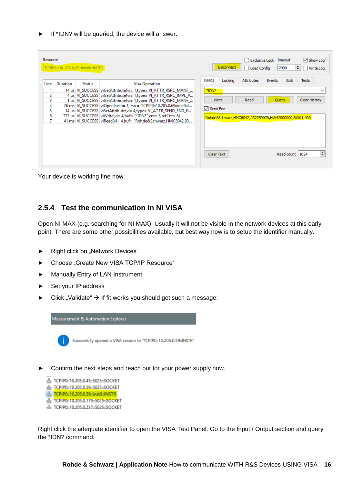If \*IDN? will be queried, the device will answer.

| Resource                                |          | TCPIP0::10.205.0.69::inst0::INSTR |                                                                                                                                                                                                                                                                                                                                                                                                                                                                                                                            | Exclusive Lock Timeout<br>$\sqrt{ }$ Show Log<br>Disconnect<br>≑∣<br>2000<br>Load Config<br>Write Log                                                                                                                                                                    |
|-----------------------------------------|----------|-----------------------------------|----------------------------------------------------------------------------------------------------------------------------------------------------------------------------------------------------------------------------------------------------------------------------------------------------------------------------------------------------------------------------------------------------------------------------------------------------------------------------------------------------------------------------|--------------------------------------------------------------------------------------------------------------------------------------------------------------------------------------------------------------------------------------------------------------------------|
| Line<br>2<br>3<br>4<br>5<br>6<br>$\tau$ | Duration | <b>Status</b>                     | Visa Operation<br>14 µs   VI_SUCCESS   viGetAttribute(vi= 1, type= VI_ATTR_RSRC_MANF_<br>4 µs   VI_SUCCESS   viGetAttribute(vi= 1, type= VI_ATTR_RSRC_IMPL_V<br>1 µs   VI SUCCESS   viGetAttribute(vi= 1, type= VI ATTR RSRC MANF<br>26 ms VI SUCCESS viOpen(sesn= 1, rsrc= TCPIP0::10.205.0.69::inst0::1<br>14 µs   VI_SUCCESS   viSetAttribute(vi= 4,type= VI_ATTR_SEND_END_E<br>775 µs   VI_SUCCESS   viWrite(vi= 4, buf= "*IDN?", cnt= 5, retCnt= 6)<br>41 ms VI SUCCESS viRead(vi= 4, buf= "Rohde&Schwarz, HMC8042,03 | <b>Basics</b><br>Locking<br><b>Attributes</b><br>Events<br>Gpib<br><b>Tests</b><br>*IDN?<br>$\checkmark$<br>Clear History<br>Write<br>Read<br>Query<br>$\sqrt{}$ Send End<br>Rohde&Schwarz,HMC8042,032259070,HW42000000,SW01.400<br>÷<br>Read count   1024<br>Clear Text |

Your device is working fine now.

#### <span id="page-15-0"></span>**2.5.4 Test the communication in NI VISA**

Open NI MAX (e.g. searching for NI MAX). Usually it will not be visible in the network devices at this early point. There are some other possibilities available, but best way now is to setup the identifier manually.

- ► Right click on "Network Devices"
- Choose "Create New VISA TCP/IP Resource"
- ► Manually Entry of LAN Instrument
- Set your IP address
- Click "Validate"  $\rightarrow$  If fit works you should get such a message:



- Confirm the next steps and reach out for your power supply now.
	- 뭃 TCPIP0::10.205.0.45::5025::SOCKET 8 TCPIP0::10.205.0.59::5025::SOCKET
	- 응 TCPIP0::10.205.0.59::inst0::INSTR
	- 옳 TCPIP0::10.205.0.179::5025::SOCKET
	- R TCPIP0::10.205.0.237::5025::SOCKET

Right click the adequate identifier to open the VISA Test Panel. Go to the Input / Output section and query the \*IDN? command: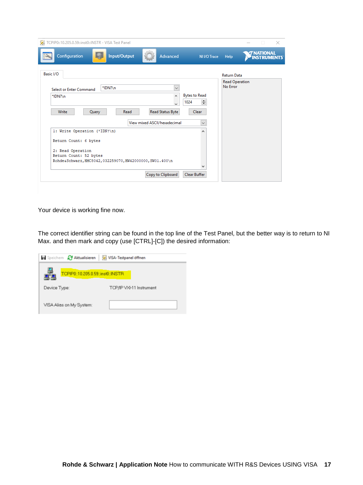| TCPIP0::10.205.0.59::inst0::INSTR - VISA Test Panel                                                      |                              |                                   |                                      | $\times$<br>$\Box$                      |
|----------------------------------------------------------------------------------------------------------|------------------------------|-----------------------------------|--------------------------------------|-----------------------------------------|
| Configuration<br>Input/Output<br>$\overline{\mathbf{z}}$                                                 | Advanced                     | NI I/O Trace                      | Help                                 | <b>7 NATIONAL</b><br><b>INSTRUMENTS</b> |
| Basic I/O                                                                                                |                              |                                   | <b>Return Data</b><br>Read Operation |                                         |
| *IDN?\n<br><b>Select or Enter Command</b>                                                                | $\checkmark$                 |                                   | No Error                             |                                         |
| *IDN?\n                                                                                                  | A<br>kal.                    | <b>Bytes to Read</b><br>÷<br>1024 |                                      |                                         |
| Write<br>Query<br>Read                                                                                   | Read Status Byte             | <b>Clear</b>                      |                                      |                                         |
|                                                                                                          | View mixed ASCII/hexadecimal | $\checkmark$                      |                                      |                                         |
| 1: Write Operation (*IDN?\n)                                                                             |                              | ́                                 |                                      |                                         |
| Return Count: 6 bytes                                                                                    |                              |                                   |                                      |                                         |
| 2: Read Operation<br>Return Count: 52 bytes<br>RohdesSchwarz, HMC8042, 032259070, HW42000000, SW01.400\n |                              |                                   |                                      |                                         |
|                                                                                                          |                              | $\overline{\phantom{a}}$          |                                      |                                         |

Your device is working fine now.

The correct identifier string can be found in the top line of the Test Panel, but the better way is to return to NI Max. and then mark and copy (use [CTRL]-[C]) the desired information:

| Speichern & Aktualisieren         | VISA-Testpanel öffnen    |
|-----------------------------------|--------------------------|
| TCPIP0::10.205.0.59:/inst0::INSTR |                          |
| Device Type:                      | TCP/IP VXI-11 Instrument |
| VISA Alias on My System:          |                          |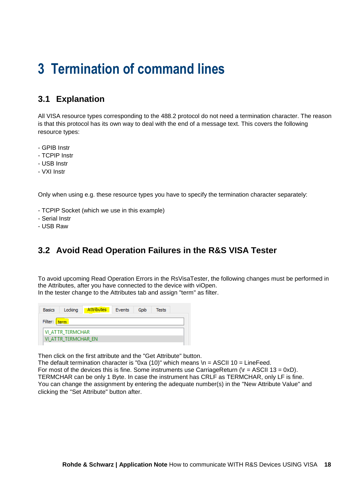### <span id="page-17-0"></span>**3 Termination of command lines**

### <span id="page-17-1"></span>**3.1 Explanation**

All VISA resource types corresponding to the 488.2 protocol do not need a termination character. The reason is that this protocol has its own way to deal with the end of a message text. This covers the following resource types:

- GPIB Instr
- TCPIP Instr
- USB Instr
- VXI Instr

Only when using e.g. these resource types you have to specify the termination character separately:

- TCPIP Socket (which we use in this example)
- Serial Instr
- <span id="page-17-2"></span>- USB Raw

#### **3.2 Avoid Read Operation Failures in the R&S VISA Tester**

To avoid upcoming Read Operation Errors in the RsVisaTester, the following changes must be performed in the Attributes, after you have connected to the device with viOpen. In the tester change to the Attributes tab and assign "term" as filter.

| <b>Basics</b> | Locking                 | Attributes | Events | Goib | Tests |  |  |  |
|---------------|-------------------------|------------|--------|------|-------|--|--|--|
| Filter: term  |                         |            |        |      |       |  |  |  |
|               | <b>VI ATTR TERMCHAR</b> |            |        |      |       |  |  |  |
|               | VI ATTR TERMCHAR EN     |            |        |      |       |  |  |  |

Then click on the first attribute and the "Get Attribute" button.

The default termination character is "0xa (10)" which means  $\ln =$  ASCII 10 = LineFeed. For most of the devices this is fine. Some instruments use CarriageReturn ( $\rm{tr} = ASCII 13 = 0xD$ ). TERMCHAR can be only 1 Byte. In case the instrument has CRLF as TERMCHAR, only LF is fine. You can change the assignment by entering the adequate number(s) in the "New Attribute Value" and clicking the "Set Attribute" button after.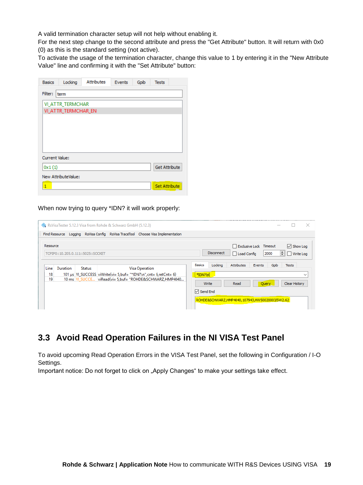A valid termination character setup will not help without enabling it.

For the next step change to the second attribute and press the "Get Attribute" button. It will return with 0x0 (0) as this is the standard setting (not active).

To activate the usage of the termination character, change this value to 1 by entering it in the "New Attribute Value" line and confirming it with the "Set Attribute" button:

| <b>Basics</b>  | Locking                 | <b>Attributes</b> | Events | Gpib | <b>Tests</b>         |
|----------------|-------------------------|-------------------|--------|------|----------------------|
| Filter:        | term                    |                   |        |      |                      |
|                | <b>VI ATTR TERMCHAR</b> |                   |        |      |                      |
|                | VI ATTR TERMCHAR EN     |                   |        |      |                      |
|                |                         |                   |        |      |                      |
|                |                         |                   |        |      |                      |
|                |                         |                   |        |      |                      |
|                |                         |                   |        |      |                      |
| Current Value: |                         |                   |        |      |                      |
| 0x1(1)         |                         |                   |        |      | <b>Get Attribute</b> |
|                | New AttributeValue:     |                   |        |      |                      |
| 1              |                         |                   |        |      | <b>Set Attribute</b> |

When now trying to query \*IDN? it will work properly:

|                               |          |                                    | <b>Standard Resonance S.12.3 Visa from Rohde &amp; Schwarz GmbH (5.12.3)</b> |                                                                                                                                                      | ×                                                                                                                                                                                                                                   |
|-------------------------------|----------|------------------------------------|------------------------------------------------------------------------------|------------------------------------------------------------------------------------------------------------------------------------------------------|-------------------------------------------------------------------------------------------------------------------------------------------------------------------------------------------------------------------------------------|
|                               |          |                                    |                                                                              | Find Resource Logging RsVisa Config RsVisa TraceTool Choose Visa Implementation                                                                      |                                                                                                                                                                                                                                     |
| Resource                      |          | TCPIP0::10.205.0.111::5025::SOCKET |                                                                              |                                                                                                                                                      | Exclusive Lock Timeout<br>$\triangledown$ Show Log<br>$\div$<br><b>Disconnect</b><br>2000<br>$\Box$ Write Log<br>□ Load Config                                                                                                      |
| Line<br>18 <sup>1</sup><br>19 | Duration | Status                             |                                                                              | Visa Operation<br>101 µs   VI_SUCCESS   viWrite(vi= 5, buf= "*IDN?\n", cnt= 6, retCnt= 6)<br>10 ms VI SUCCE viRead(vi= 5.buf= "ROHDE&SCHWARZ.HMP4040 | <b>Basics</b><br>Gpib<br>Locking<br><b>Attributes</b><br>Events<br><b>Tests</b><br>*IDN?\n<br>$\checkmark$<br>Clear History<br>Query<br>Write<br>Read<br>$\triangledown$ Send End<br>ROHDE&SCHWARZ,HMP4040,107943,HW50020003/SW2.62 |

#### <span id="page-18-0"></span>**3.3 Avoid Read Operation Failures in the NI VISA Test Panel**

To avoid upcoming Read Operation Errors in the VISA Test Panel, set the following in Configuration / I-O Settings.

Important notice: Do not forget to click on "Apply Changes" to make your settings take effect.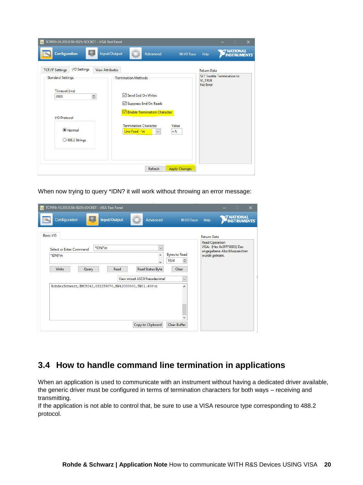| TCPIP0::10.205.0.59::5025::SOCKET - VISA Test Panel<br>z                                                                                                                             |                                                                                                                                                                      |                      |                                                                               |                   | п.                 | $\times$ |
|--------------------------------------------------------------------------------------------------------------------------------------------------------------------------------------|----------------------------------------------------------------------------------------------------------------------------------------------------------------------|----------------------|-------------------------------------------------------------------------------|-------------------|--------------------|----------|
| Configuration<br>$\sum_{i=1}^{n}$                                                                                                                                                    | Input/Output<br>Advanced                                                                                                                                             | NI I/O Trace         | Help                                                                          | <b>7 NATIONAL</b> | <b>INSTRUMENTS</b> |          |
| I/O Settings<br><b>TCP/IP Settings</b><br><b>View Attributes</b><br><b>Standard Settings</b><br>Timeout (ms)<br>$\div$<br>2000<br>I/O Protocol<br><b>O</b> Normal<br>○ 488.2 Strings | <b>Termination Methods</b><br><b>⊠</b> Send End On Writes<br>Suppress End On Reads<br>Enable Termination Character<br><b>Termination Character</b><br>Line Feed - \n | Value<br>хA          | <b>Return Data</b><br>SET Enable Termination to<br><b>VI_TRUE</b><br>No Error |                   |                    |          |
|                                                                                                                                                                                      | Refresh                                                                                                                                                              | <b>Apply Changes</b> |                                                                               |                   |                    |          |

When now trying to query \*IDN? it will work without throwing an error message:

| TCPIP0::10.205.0.59::5025::SOCKET - VISA Test Panel                                                                                                                                                                                                                                                                                                   | $\times$<br>$\Box$                                                                                                         |
|-------------------------------------------------------------------------------------------------------------------------------------------------------------------------------------------------------------------------------------------------------------------------------------------------------------------------------------------------------|----------------------------------------------------------------------------------------------------------------------------|
| Input/Output<br>Configuration<br>Advanced<br>NI I/O Trace                                                                                                                                                                                                                                                                                             | <b>TRATIONAL<br/>INSTRUMENTS</b><br>Help                                                                                   |
| Basic I/O<br>*IDN?\n<br>$\checkmark$<br>Select or Enter Command<br><b>Bytes to Read</b><br>۸<br>*IDN?\n<br>$\div$<br>1024<br>ka.<br>Read Status Byte<br>Write<br>Clear<br>Query<br>Read<br>View mixed ASCII/hexadecimal<br>$\checkmark$<br>RohdesSchwarz, HMC8042, 032259070, HW42000000, SW01.400\n<br>۸<br>Copy to Clipboard<br><b>Clear Buffer</b> | <b>Return Data</b><br><b>Read Operation</b><br>VISA: (Hex 0x3FFF0005) Das<br>angegebene Abschlusszeichen<br>wurde gelesen. |

#### <span id="page-19-0"></span>**3.4 How to handle command line termination in applications**

When an application is used to communicate with an instrument without having a dedicated driver available, the generic driver must be configured in terms of termination characters for both ways - receiving and transmitting.

If the application is not able to control that, be sure to use a VISA resource type corresponding to 488.2 protocol.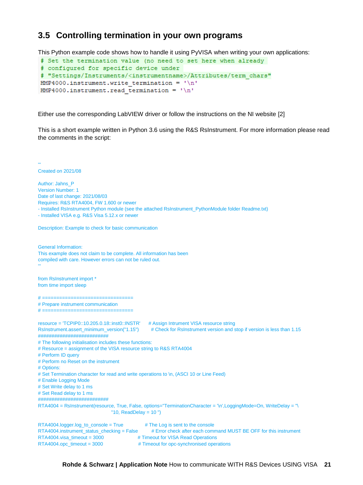#### <span id="page-20-0"></span>**3.5 Controlling termination in your own programs**

This Python example code shows how to handle it using PyVISA when writing your own applications:

```
# Set the termination value (no need to set here when already
# configured for specific device under
# "Settings/Instruments/<instrumentname>/Attributes/term chars"
HMP4000.instrument.write termination = '\nHMP4000.instrument.read termination = '\n'
```
Either use the corresponding LabVIEW driver or follow the instructions on the NI website [2]

This is a short example written in Python 3.6 using the R&S RsInstrument. For more information please read the comments in the script:

Created on 2021/08 Author: Jahns\_P Version Number: 1 Date of last change: 2021/08/03 Requires: R&S RTA4004, FW 1.600 or newer - Installed RsInstrument Python module (see the attached RsInstrument PythonModule folder Readme.txt) - Installed VISA e.g. R&S Visa 5.12.x or newer Description: Example to check for basic communication General Information: This example does not claim to be complete. All information has been compiled with care. However errors can not be ruled out. from RsInstrument import \* from time import sleep # ================================ # Prepare instrument communication # ================================ resource = 'TCPIP0::10.205.0.18::inst0::INSTR' # Assign Intrument VISA resource string RsInstrument.assert\_minimum\_version("1.15") # Check for RsInstrument version and stop if version is less than 1.15 ########################## # The following initialisation includes these functions: # Resource = assignment of the VISA resource string to R&S RTA4004 # Perform ID query # Perform no Reset on the instrument # Options: # Set Termination character for read and write operations to \n, (ASCI 10 or Line Feed) # Enable Logging Mode # Set Write delay to 1 ms # Set Read delay to 1 ms ########################## RTA4004 = RsInstrument(resource, True, False, options="TerminationCharacter = '\n',LoggingMode=On, WriteDelay = "\  $"10, ReadDelay = 10"$  $RTA4004.$ logger.log\_to\_console = True  $\qquad$  # The Log is sent to the console RTA4004.instrument\_status\_checking = False # Error check after each command MUST BE OFF for this instrument RTA4004.visa\_timeout = 3000 # Timeout for VISA Read Operations RTA4004.opc\_timeout = 3000 # Timeout for opc-synchronised operations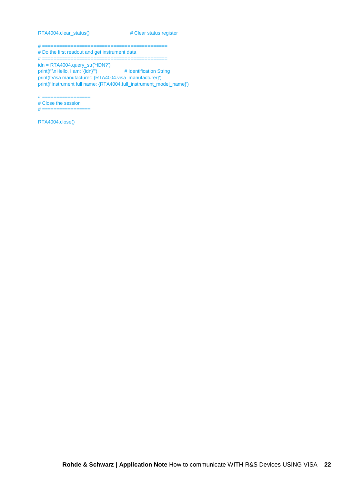RTA4004.clear\_status() # Clear status register

# ============================================

# Do the first readout and get instrument data

# ============================================ idn = RTA4004.query\_str('\*IDN?') print(f"\nHello, I am: '{idn}'") # Identification String print(f'Visa manufacturer: {RTA4004.visa\_manufacturer}') print(f'Instrument full name: {RTA4004.full\_instrument\_model\_name}')

 $# ==$ 

# Close the session

# =================

RTA4004.close()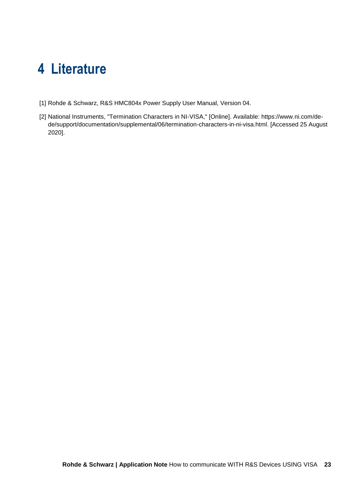### <span id="page-22-0"></span>**4 Literature**

- [1] Rohde & Schwarz, R&S HMC804x Power Supply User Manual, Version 04.
- [2] National Instruments, "Termination Characters in NI-VISA," [Online]. Available: https://www.ni.com/dede/support/documentation/supplemental/06/termination-characters-in-ni-visa.html. [Accessed 25 August 2020].